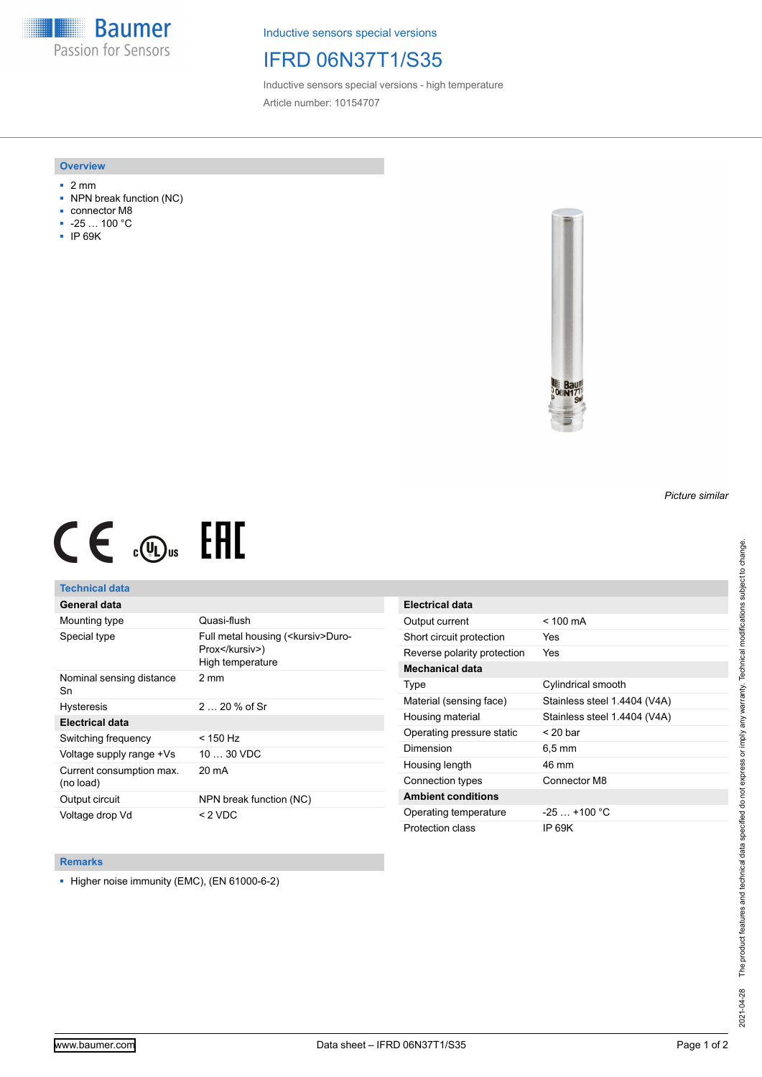**Baumer** Passion for Sensors

Inductive sensors special versions

## IFRD 06N37T1/S35

Inductive sensors special versions - high temperature Article number: 10154707

#### **Overview**

- 2 mm
- NPN break function (NC)
- connector M8
- -25 … 100 °C
- IP 69K



# $CE \mathcal{L}$  ( $\mathcal{L}$  and  $SE$

### **Technical data**

## **General data**

| Mounting type                         | Quasi-flush                                                                |
|---------------------------------------|----------------------------------------------------------------------------|
| Special type                          | Full metal housing ( <kursiv>Duro-<br/>Prox</kursiv> )<br>High temperature |
| Nominal sensing distance<br>Sn        | 2 mm                                                                       |
| <b>Hysteresis</b>                     | $220%$ of Sr                                                               |
| <b>Electrical data</b>                |                                                                            |
| Switching frequency                   | < 150 Hz                                                                   |
| Voltage supply range +Vs              | $1030$ VDC                                                                 |
| Current consumption max.<br>(no load) | 20 mA                                                                      |
| Output circuit                        | NPN break function (NC)                                                    |
| Voltage drop Vd                       | $< 2$ VDC                                                                  |

| Electrical data             |                              |
|-----------------------------|------------------------------|
| Output current              | $< 100 \text{ mA}$           |
| Short circuit protection    | Yes                          |
| Reverse polarity protection | Yes                          |
| Mechanical data             |                              |
| Type                        | Cylindrical smooth           |
| Material (sensing face)     | Stainless steel 1.4404 (V4A) |
| Housing material            | Stainless steel 1.4404 (V4A) |
| Operating pressure static   | $<$ 20 bar                   |
| Dimension                   | $6.5 \,\mathrm{mm}$          |
| Housing length              | 46 mm                        |
| Connection types            | Connector M8                 |
| <b>Ambient conditions</b>   |                              |
| Operating temperature       | $-25+100 °C$                 |
| Protection class            | IP 69K                       |

#### **Remarks**

■ Higher noise immunity (EMC), (EN 61000-6-2)

*Picture similar*